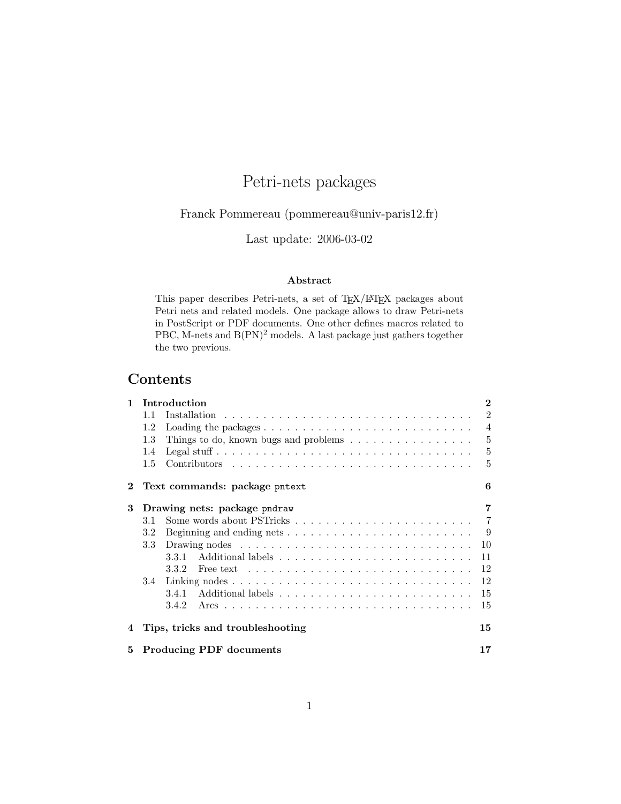# Petri-nets packages

Franck Pommereau (pommereau@univ-paris12.fr)

Last update: 2006-03-02

#### Abstract

This paper describes Petri-nets, a set of TEX/LATEX packages about Petri nets and related models. One package allows to draw Petri-nets in PostScript or PDF documents. One other defines macros related to PBC, M-nets and  $B(PN)^2$  models. A last package just gathers together the two previous.

# Contents

| 1        |                                      | Introduction                                                                               | $\bf{2}$       |
|----------|--------------------------------------|--------------------------------------------------------------------------------------------|----------------|
|          | 11                                   |                                                                                            | $\overline{2}$ |
|          | 1.2                                  | Loading the packages $\ldots \ldots \ldots \ldots \ldots \ldots \ldots \ldots \ldots$      | $\overline{4}$ |
|          | 1.3                                  | Things to do, known bugs and problems $\dots \dots \dots \dots \dots$                      | 5              |
|          | 1.4                                  |                                                                                            | 5              |
|          | $1.5\,$                              |                                                                                            | 5              |
| $\bf{2}$ |                                      | Text commands: package pntext                                                              | 6              |
| 3        |                                      | Drawing nets: package pndraw                                                               | 7              |
|          | 3.1                                  |                                                                                            | $\overline{7}$ |
|          | 3.2                                  | Beginning and ending nets $\ldots \ldots \ldots \ldots \ldots \ldots \ldots \ldots$        | 9              |
|          | 3.3                                  |                                                                                            | 10             |
|          |                                      | 3.3.1                                                                                      | 11             |
|          |                                      | 3.3.2<br>Free text $\ldots \ldots \ldots \ldots \ldots \ldots \ldots \ldots \ldots \ldots$ | 12             |
|          | 3.4                                  |                                                                                            | 12             |
|          |                                      | 3.4.1                                                                                      | 15             |
|          |                                      | 3.4.2                                                                                      | 15             |
|          |                                      | Tips, tricks and troubleshooting                                                           | 15             |
| 5        | <b>Producing PDF</b> documents<br>17 |                                                                                            |                |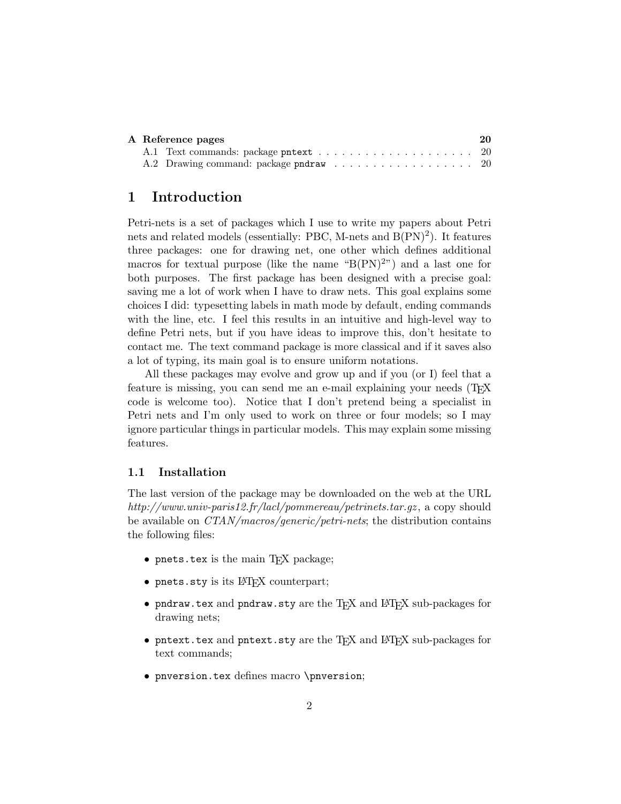|  | A Reference pages                      | 20 |
|--|----------------------------------------|----|
|  |                                        |    |
|  | A.2 Drawing command: package pndraw 20 |    |

# 1 Introduction

Petri-nets is a set of packages which I use to write my papers about Petri nets and related models (essentially: PBC, M-nets and B(PN)<sup>2</sup>). It features three packages: one for drawing net, one other which defines additional macros for textual purpose (like the name " $B(PN)^{2}$ ") and a last one for both purposes. The first package has been designed with a precise goal: saving me a lot of work when I have to draw nets. This goal explains some choices I did: typesetting labels in math mode by default, ending commands with the line, etc. I feel this results in an intuitive and high-level way to define Petri nets, but if you have ideas to improve this, don't hesitate to contact me. The text command package is more classical and if it saves also a lot of typing, its main goal is to ensure uniform notations.

All these packages may evolve and grow up and if you (or I) feel that a feature is missing, you can send me an e-mail explaining your needs (TEX code is welcome too). Notice that I don't pretend being a specialist in Petri nets and I'm only used to work on three or four models; so I may ignore particular things in particular models. This may explain some missing features.

#### 1.1 Installation

The last version of the package may be downloaded on the web at the URL http://www.univ-paris12.fr/lacl/pommereau/petrinets.tar.gz , a copy should be available on *CTAN/macros/generic/petri-nets*; the distribution contains the following files:

- pnets.tex is the main T<sub>E</sub>X package;
- pnets.sty is its LATEX counterpart;
- pndraw.tex and pndraw.sty are the TEX and LATEX sub-packages for drawing nets;
- pntext.tex and pntext.sty are the TEX and L<sup>AT</sup>EX sub-packages for text commands;
- pnversion.tex defines macro \pnversion;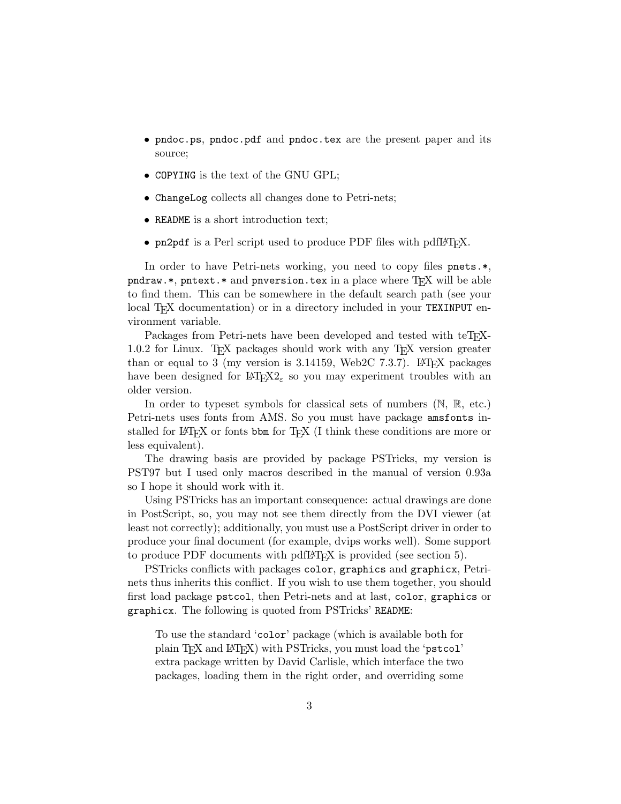- pndoc.ps, pndoc.pdf and pndoc.tex are the present paper and its source;
- COPYING is the text of the GNU GPL;
- ChangeLog collects all changes done to Petri-nets;
- README is a short introduction text;
- pn2pdf is a Perl script used to produce PDF files with pdf $\mathbb{P}\Gamma_{\mathsf{F}}X$ .

In order to have Petri-nets working, you need to copy files pnets.\*, pndraw.\*, pntext.\* and pnversion.tex in a place where  $T_{F}X$  will be able to find them. This can be somewhere in the default search path (see your local T<sub>EX</sub> documentation) or in a directory included in your TEXINPUT environment variable.

Packages from Petri-nets have been developed and tested with teT<sub>E</sub>X-1.0.2 for Linux. TEX packages should work with any TEX version greater than or equal to 3 (my version is 3.14159, Web2C 7.3.7). LAT<sub>EX</sub> packages have been designed for  $\mathbb{E} \text{Tr} X2_{\varepsilon}$  so you may experiment troubles with an older version.

In order to typeset symbols for classical sets of numbers (N, R, etc.) Petri-nets uses fonts from AMS. So you must have package amsfonts installed for LAT<sub>EX</sub> or fonts bbm for T<sub>EX</sub> (I think these conditions are more or less equivalent).

The drawing basis are provided by package PSTricks, my version is PST97 but I used only macros described in the manual of version 0.93a so I hope it should work with it.

Using PSTricks has an important consequence: actual drawings are done in PostScript, so, you may not see them directly from the DVI viewer (at least not correctly); additionally, you must use a PostScript driver in order to produce your final document (for example, dvips works well). Some support to produce PDF documents with pdfLATEX is provided (see section 5).

PSTricks conflicts with packages color, graphics and graphicx, Petrinets thus inherits this conflict. If you wish to use them together, you should first load package pstcol, then Petri-nets and at last, color, graphics or graphicx. The following is quoted from PSTricks' README:

To use the standard 'color' package (which is available both for plain T<sub>F</sub>X and L<sup>AT</sup>F<sub>K</sub><sup>I</sup>) with PSTricks, you must load the 'pstcol' extra package written by David Carlisle, which interface the two packages, loading them in the right order, and overriding some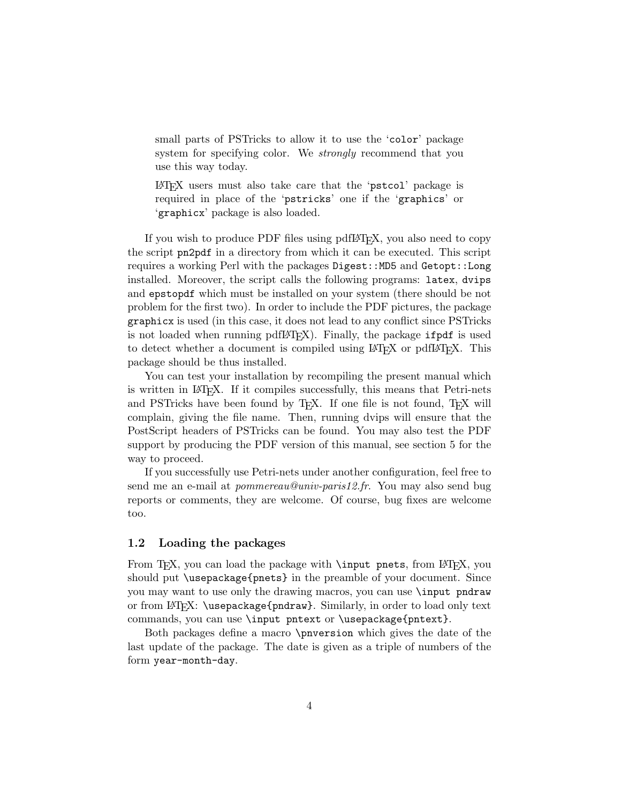small parts of PSTricks to allow it to use the 'color' package system for specifying color. We *strongly* recommend that you use this way today.

LATEX users must also take care that the 'pstcol' package is required in place of the 'pstricks' one if the 'graphics' or 'graphicx' package is also loaded.

If you wish to produce PDF files using pdfLAT<sub>F</sub>X, you also need to copy the script pn2pdf in a directory from which it can be executed. This script requires a working Perl with the packages Digest::MD5 and Getopt::Long installed. Moreover, the script calls the following programs: latex, dvips and epstopdf which must be installed on your system (there should be not problem for the first two). In order to include the PDF pictures, the package graphicx is used (in this case, it does not lead to any conflict since PSTricks is not loaded when running pdfL<sup>AT</sup>EX). Finally, the package ifpdf is used to detect whether a document is compiled using LAT<sub>EX</sub> or pdfLAT<sub>EX</sub>. This package should be thus installed.

You can test your installation by recompiling the present manual which is written in LAT<sub>E</sub>X. If it compiles successfully, this means that Petri-nets and PSTricks have been found by T<sub>F</sub>X. If one file is not found, T<sub>F</sub>X will complain, giving the file name. Then, running dvips will ensure that the PostScript headers of PSTricks can be found. You may also test the PDF support by producing the PDF version of this manual, see section 5 for the way to proceed.

If you successfully use Petri-nets under another configuration, feel free to send me an e-mail at *pommereau@univ-paris12.fr*. You may also send bug reports or comments, they are welcome. Of course, bug fixes are welcome too.

#### 1.2 Loading the packages

From T<sub>E</sub>X, you can load the package with  $\infty$ , pnets, from ET<sub>E</sub>X, you should put \usepackage{pnets} in the preamble of your document. Since you may want to use only the drawing macros, you can use \input pndraw or from LATEX: \usepackage{pndraw}. Similarly, in order to load only text commands, you can use \input pntext or \usepackage{pntext}.

Both packages define a macro \pnversion which gives the date of the last update of the package. The date is given as a triple of numbers of the form year-month-day.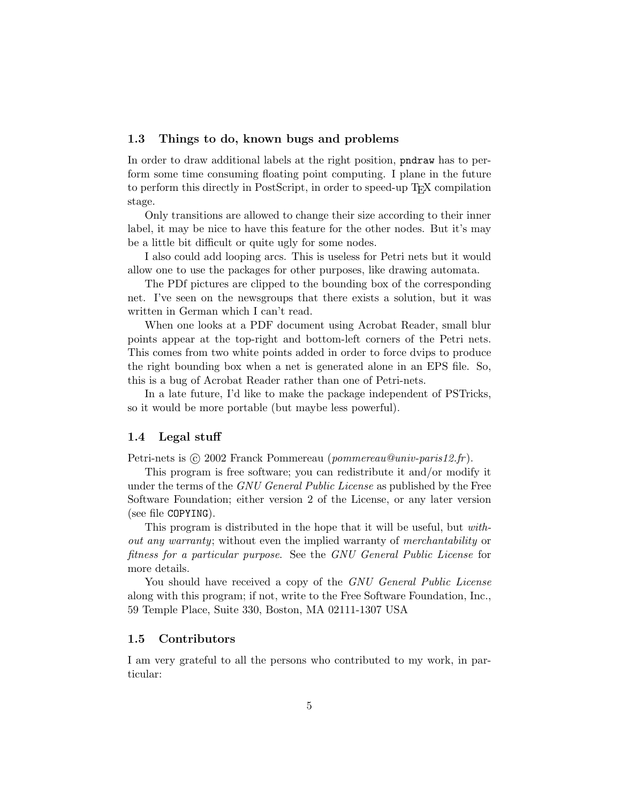#### 1.3 Things to do, known bugs and problems

In order to draw additional labels at the right position, pndraw has to perform some time consuming floating point computing. I plane in the future to perform this directly in PostScript, in order to speed-up T<sub>EX</sub> compilation stage.

Only transitions are allowed to change their size according to their inner label, it may be nice to have this feature for the other nodes. But it's may be a little bit difficult or quite ugly for some nodes.

I also could add looping arcs. This is useless for Petri nets but it would allow one to use the packages for other purposes, like drawing automata.

The PDf pictures are clipped to the bounding box of the corresponding net. I've seen on the newsgroups that there exists a solution, but it was written in German which I can't read.

When one looks at a PDF document using Acrobat Reader, small blur points appear at the top-right and bottom-left corners of the Petri nets. This comes from two white points added in order to force dvips to produce the right bounding box when a net is generated alone in an EPS file. So, this is a bug of Acrobat Reader rather than one of Petri-nets.

In a late future, I'd like to make the package independent of PSTricks, so it would be more portable (but maybe less powerful).

#### 1.4 Legal stuff

Petri-nets is  $\odot$  2002 Franck Pommereau (pommereau@univ-paris12.fr).

This program is free software; you can redistribute it and/or modify it under the terms of the GNU General Public License as published by the Free Software Foundation; either version 2 of the License, or any later version (see file COPYING).

This program is distributed in the hope that it will be useful, but without any warranty; without even the implied warranty of merchantability or fitness for a particular purpose. See the GNU General Public License for more details.

You should have received a copy of the GNU General Public License along with this program; if not, write to the Free Software Foundation, Inc., 59 Temple Place, Suite 330, Boston, MA 02111-1307 USA

#### 1.5 Contributors

I am very grateful to all the persons who contributed to my work, in particular: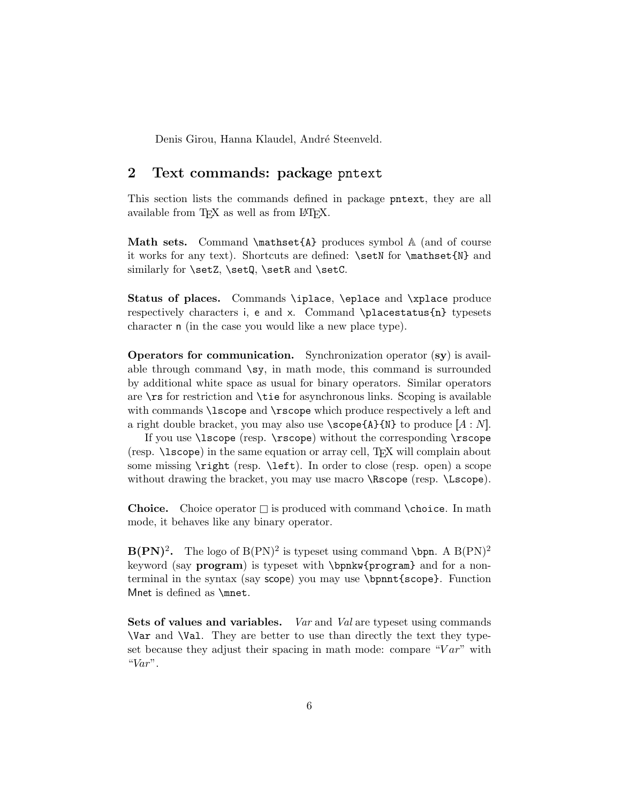Denis Girou, Hanna Klaudel, André Steenveld.

# 2 Text commands: package pntext

This section lists the commands defined in package pntext, they are all available from TFX as well as from LATFX.

Math sets. Command  $\mathbb{A}$  produces symbol  $\mathbb{A}$  (and of course it works for any text). Shortcuts are defined: \setN for \mathset{N} and similarly for **\setZ**, **\setQ**, **\setR** and **\setC**.

Status of places. Commands \iplace, \eplace and \xplace produce respectively characters i, e and x. Command \placestatus{n} typesets character n (in the case you would like a new place type).

Operators for communication. Synchronization operator (sy) is available through command  $\text{sy},$  in math mode, this command is surrounded by additional white space as usual for binary operators. Similar operators are \rs for restriction and \tie for asynchronous links. Scoping is available with commands **\lscope** and **\rscope** which produce respectively a left and a right double bracket, you may also use  $\text{score}\{A\}$  (N) to produce  $[A : N]$ .

If you use \lscope (resp. \rscope) without the corresponding \rscope (resp.  $\text{lscope}$ ) in the same equation or array cell, TEX will complain about some missing \right (resp. \left). In order to close (resp. open) a scope without drawing the bracket, you may use macro **\Rscope** (resp. **\Lscope**).

**Choice.** Choice operator  $\square$  is produced with command **\choice.** In math mode, it behaves like any binary operator.

 $B(PN)^2$ . The logo of  $B(PN)^2$  is typeset using command \bpn. A  $B(PN)^2$ keyword (say **program**) is typeset with \bpnkw{program} and for a nonterminal in the syntax (say scope) you may use \bpnnt{scope}. Function Mnet is defined as \mnet.

Sets of values and variables. Var and Val are typeset using commands \Var and \Val. They are better to use than directly the text they typeset because they adjust their spacing in math mode: compare " $Var$ " with " $Var$ ".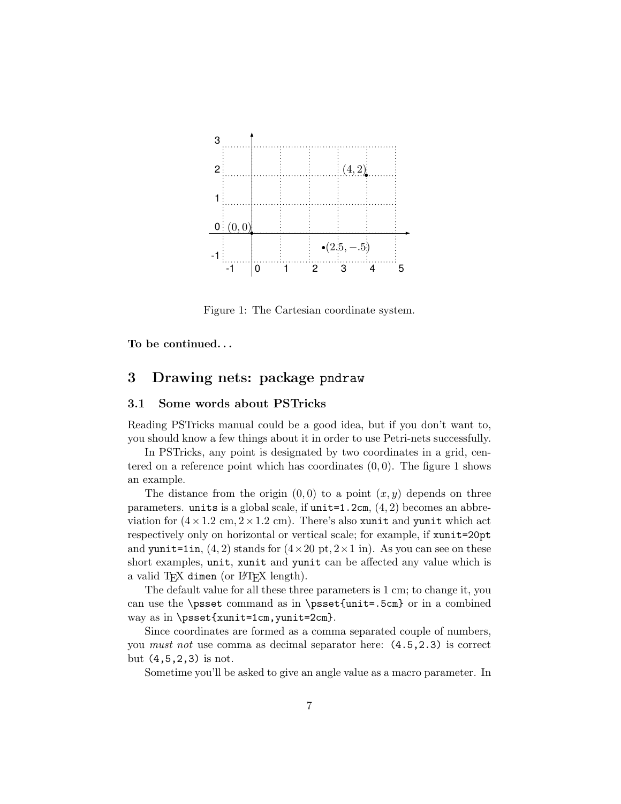

Figure 1: The Cartesian coordinate system.

To be continued. . .

## 3 Drawing nets: package pndraw

#### 3.1 Some words about PSTricks

Reading PSTricks manual could be a good idea, but if you don't want to, you should know a few things about it in order to use Petri-nets successfully.

In PSTricks, any point is designated by two coordinates in a grid, centered on a reference point which has coordinates  $(0, 0)$ . The figure 1 shows an example.

The distance from the origin  $(0,0)$  to a point  $(x, y)$  depends on three parameters. units is a global scale, if  $unit=1.2cm$ ,  $(4, 2)$  becomes an abbreviation for  $(4 \times 1.2 \text{ cm}, 2 \times 1.2 \text{ cm})$ . There's also xunit and yunit which act respectively only on horizontal or vertical scale; for example, if xunit=20pt and yunit=1in,  $(4, 2)$  stands for  $(4 \times 20 \text{ pt}, 2 \times 1 \text{ in})$ . As you can see on these short examples, unit, xunit and yunit can be affected any value which is a valid T<sub>F</sub>X dimen (or L<sup>AT</sup>F<sub>X</sub> length).

The default value for all these three parameters is 1 cm; to change it, you can use the \psset command as in \psset{unit=.5cm} or in a combined way as in \psset{xunit=1cm,yunit=2cm}.

Since coordinates are formed as a comma separated couple of numbers, you must not use comma as decimal separator here: (4.5,2.3) is correct but (4,5,2,3) is not.

Sometime you'll be asked to give an angle value as a macro parameter. In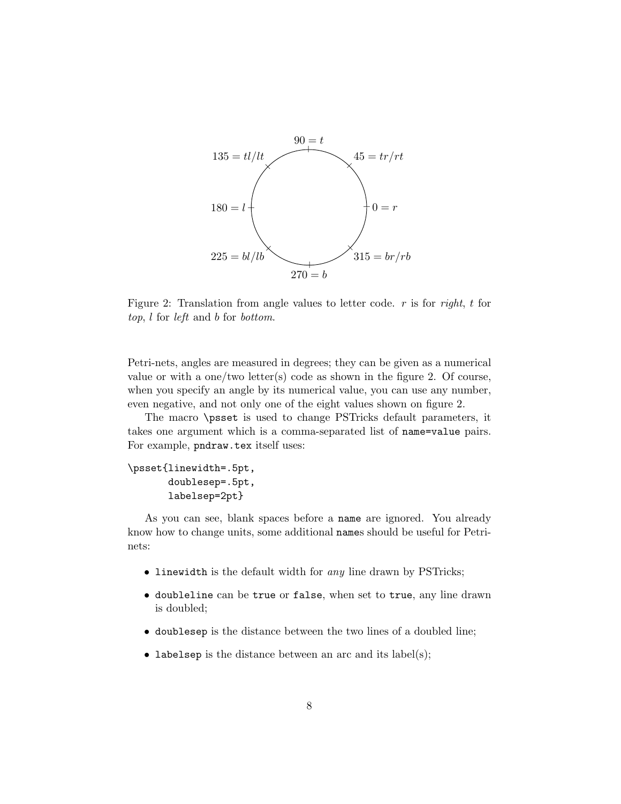

Figure 2: Translation from angle values to letter code.  $r$  is for right,  $t$  for top, l for left and b for bottom.

Petri-nets, angles are measured in degrees; they can be given as a numerical value or with a one/two letter(s) code as shown in the figure 2. Of course, when you specify an angle by its numerical value, you can use any number, even negative, and not only one of the eight values shown on figure 2.

The macro \psset is used to change PSTricks default parameters, it takes one argument which is a comma-separated list of name=value pairs. For example, pndraw.tex itself uses:

```
\psset{linewidth=.5pt,
       doublesep=.5pt,
       labelsep=2pt}
```
As you can see, blank spaces before a name are ignored. You already know how to change units, some additional names should be useful for Petrinets:

- linewidth is the default width for any line drawn by PSTricks;
- doubleline can be true or false, when set to true, any line drawn is doubled;
- doublesep is the distance between the two lines of a doubled line;
- labelsep is the distance between an arc and its label(s);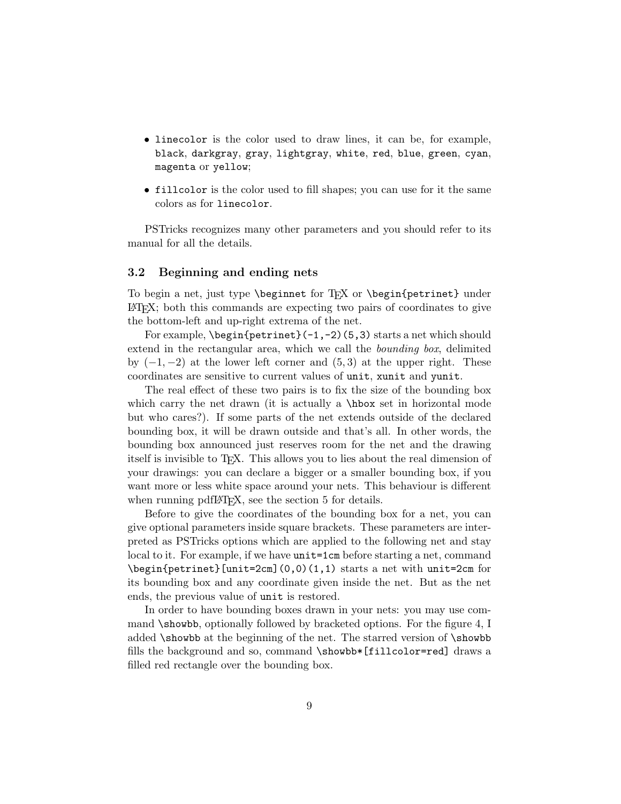- linecolor is the color used to draw lines, it can be, for example, black, darkgray, gray, lightgray, white, red, blue, green, cyan, magenta or yellow;
- fillcolor is the color used to fill shapes; you can use for it the same colors as for linecolor.

PSTricks recognizes many other parameters and you should refer to its manual for all the details.

#### 3.2 Beginning and ending nets

To begin a net, just type  $\begin{array}{c} \text{Tr}X \text{ or } \begin{array}{c} \text{berinet} \end{array} \end{array}$ LATEX; both this commands are expecting two pairs of coordinates to give the bottom-left and up-right extrema of the net.

For example,  $\begin{cases} -1, -2 \\ 5, 3 \end{cases}$  starts a net which should extend in the rectangular area, which we call the bounding box, delimited by  $(-1, -2)$  at the lower left corner and  $(5, 3)$  at the upper right. These coordinates are sensitive to current values of unit, xunit and yunit.

The real effect of these two pairs is to fix the size of the bounding box which carry the net drawn (it is actually a \hbox set in horizontal mode but who cares?). If some parts of the net extends outside of the declared bounding box, it will be drawn outside and that's all. In other words, the bounding box announced just reserves room for the net and the drawing itself is invisible to TEX. This allows you to lies about the real dimension of your drawings: you can declare a bigger or a smaller bounding box, if you want more or less white space around your nets. This behaviour is different when running pdfLAT<sub>EX</sub>, see the section 5 for details.

Before to give the coordinates of the bounding box for a net, you can give optional parameters inside square brackets. These parameters are interpreted as PSTricks options which are applied to the following net and stay local to it. For example, if we have unit=1cm before starting a net, command \begin{petrinet}[unit=2cm](0,0)(1,1) starts a net with unit=2cm for its bounding box and any coordinate given inside the net. But as the net ends, the previous value of unit is restored.

In order to have bounding boxes drawn in your nets: you may use command \showbb, optionally followed by bracketed options. For the figure 4, I added \showbb at the beginning of the net. The starred version of \showbb fills the background and so, command \showbb\*[fillcolor=red] draws a filled red rectangle over the bounding box.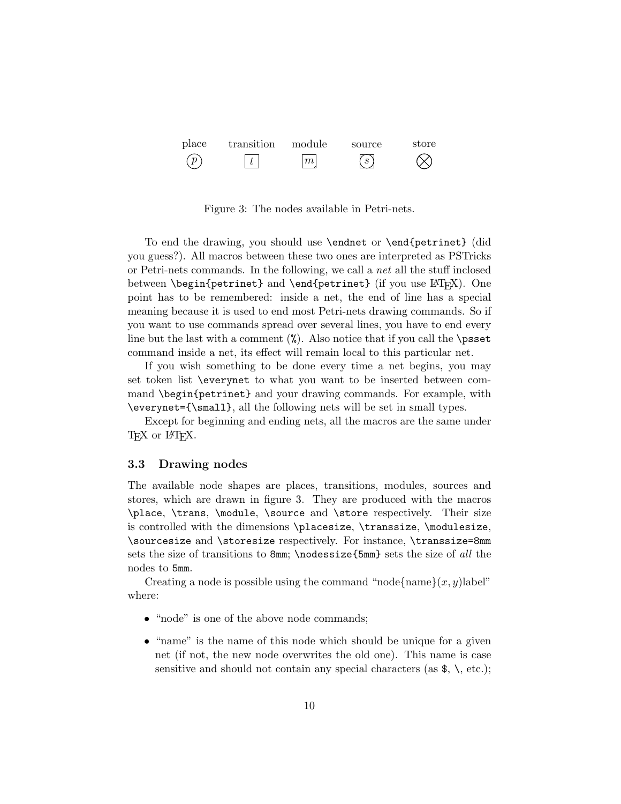

Figure 3: The nodes available in Petri-nets.

To end the drawing, you should use \endnet or \end{petrinet} (did you guess?). All macros between these two ones are interpreted as PSTricks or Petri-nets commands. In the following, we call a net all the stuff inclosed between \begin{petrinet} and \end{petrinet} (if you use  $\mathbb{A}$ FRX). One point has to be remembered: inside a net, the end of line has a special meaning because it is used to end most Petri-nets drawing commands. So if you want to use commands spread over several lines, you have to end every line but the last with a comment  $(\%)$ . Also notice that if you call the **\psset** command inside a net, its effect will remain local to this particular net.

If you wish something to be done every time a net begins, you may set token list \everynet to what you want to be inserted between command \begin{petrinet} and your drawing commands. For example, with \everynet={\small}, all the following nets will be set in small types.

Except for beginning and ending nets, all the macros are the same under T<sub>F</sub>X or L<sup>AT</sup>F<sub>X</sub>.

#### 3.3 Drawing nodes

The available node shapes are places, transitions, modules, sources and stores, which are drawn in figure 3. They are produced with the macros \place, \trans, \module, \source and \store respectively. Their size is controlled with the dimensions \placesize, \transsize, \modulesize, \sourcesize and \storesize respectively. For instance, \transsize=8mm sets the size of transitions to 8mm; \nodessize{5mm} sets the size of all the nodes to 5mm.

Creating a node is possible using the command "node{name} $(x, y)$ label" where:

- "node" is one of the above node commands;
- "name" is the name of this node which should be unique for a given net (if not, the new node overwrites the old one). This name is case sensitive and should not contain any special characters (as  $\$ , \, etc.);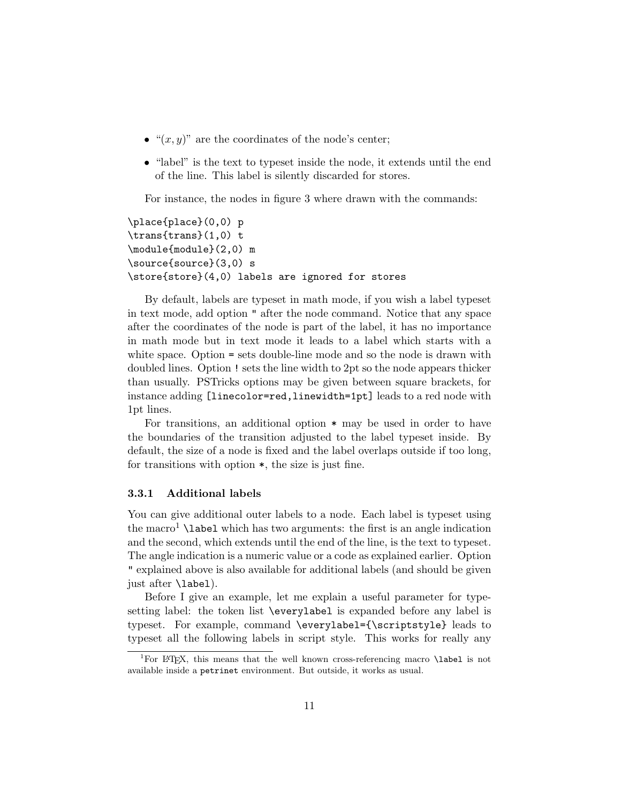- " $(x, y)$ " are the coordinates of the node's center;
- "label" is the text to typeset inside the node, it extends until the end of the line. This label is silently discarded for stores.

For instance, the nodes in figure 3 where drawn with the commands:

```
\place{place}(0,0) p
\trans{trans}(1,0) t
\module{module}(2,0) m
\source{source}(3,0) s
\store{store}(4,0) labels are ignored for stores
```
By default, labels are typeset in math mode, if you wish a label typeset in text mode, add option " after the node command. Notice that any space after the coordinates of the node is part of the label, it has no importance in math mode but in text mode it leads to a label which starts with a white space. Option = sets double-line mode and so the node is drawn with doubled lines. Option ! sets the line width to 2pt so the node appears thicker than usually. PSTricks options may be given between square brackets, for instance adding [linecolor=red,linewidth=1pt] leads to a red node with 1pt lines.

For transitions, an additional option \* may be used in order to have the boundaries of the transition adjusted to the label typeset inside. By default, the size of a node is fixed and the label overlaps outside if too long, for transitions with option \*, the size is just fine.

#### 3.3.1 Additional labels

You can give additional outer labels to a node. Each label is typeset using the macro<sup>1</sup> **\label** which has two arguments: the first is an angle indication and the second, which extends until the end of the line, is the text to typeset. The angle indication is a numeric value or a code as explained earlier. Option " explained above is also available for additional labels (and should be given just after \label).

Before I give an example, let me explain a useful parameter for typesetting label: the token list \everylabel is expanded before any label is typeset. For example, command \everylabel={\scriptstyle} leads to typeset all the following labels in script style. This works for really any

<sup>&</sup>lt;sup>1</sup>For LAT<sub>EX</sub>, this means that the well known cross-referencing macro **\label** is not available inside a petrinet environment. But outside, it works as usual.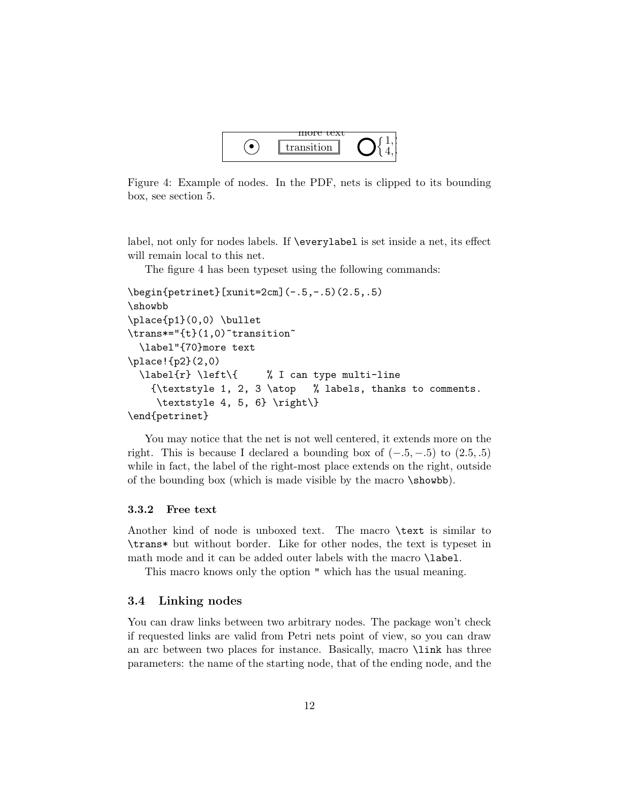

Figure 4: Example of nodes. In the PDF, nets is clipped to its bounding box, see section 5.

label, not only for nodes labels. If \everylabel is set inside a net, its effect will remain local to this net.

The figure 4 has been typeset using the following commands:

```
\begin{petrinet}[xunit=2cm](-.5,-.5)(2.5,.5)
\showbb
\place{p1}(0,0) \bullet
\trans*="{t}(1,0)~transition~
 \label"{70}more text
\place!{p2}(2,0)
 \label{r} \left\{ % I can type multi-line
   {\textstyle 1, 2, 3 \atop % labels, thanks to comments.
    \textstyle 4, 5, 6} \right\}
\end{petrinet}
```
You may notice that the net is not well centered, it extends more on the right. This is because I declared a bounding box of  $(-.5, -.5)$  to  $(2.5, .5)$ while in fact, the label of the right-most place extends on the right, outside of the bounding box (which is made visible by the macro \showbb).

#### 3.3.2 Free text

Another kind of node is unboxed text. The macro \text is similar to \trans\* but without border. Like for other nodes, the text is typeset in math mode and it can be added outer labels with the macro \label.

This macro knows only the option " which has the usual meaning.

#### 3.4 Linking nodes

You can draw links between two arbitrary nodes. The package won't check if requested links are valid from Petri nets point of view, so you can draw an arc between two places for instance. Basically, macro \link has three parameters: the name of the starting node, that of the ending node, and the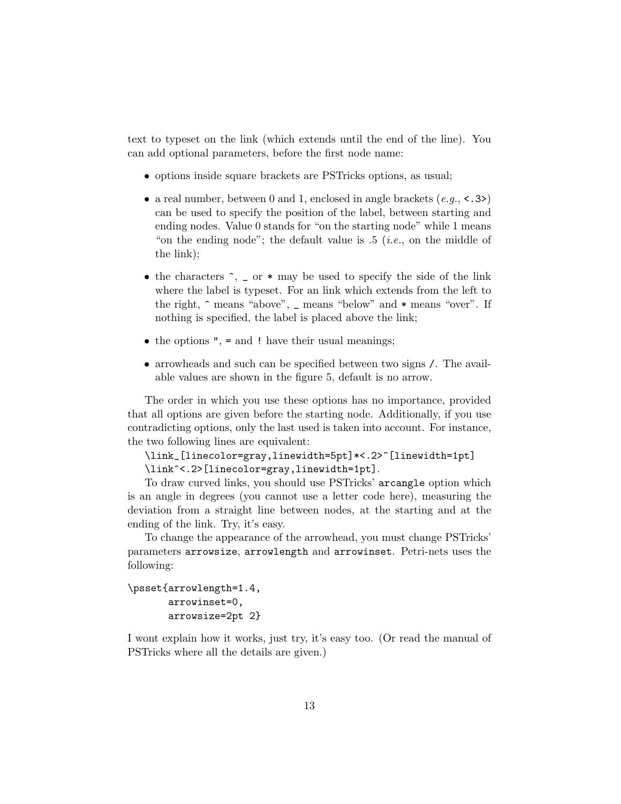text to typeset on the link (which extends until the end of the line). You can add optional parameters, before the first node name:

- options inside square brackets are PSTricks options, as usual;
- a real number, between 0 and 1, enclosed in angle brackets  $(e.g., \langle .3 \rangle)$ can be used to specify the position of the label, between starting and ending nodes. Value 0 stands for "on the starting node" while 1 means "on the ending node"; the default value is  $.5$  (*i.e.*, on the middle of the link);
- the characters  $\hat{\ }$ ,  $\hat{\ }$  or  $*$  may be used to specify the side of the link where the label is typeset. For an link which extends from the left to the right,  $\hat{ }$  means "above",  $\hat{ }$  means "below" and  $*$  means "over". If nothing is specified, the label is placed above the link;
- $\bullet$  the options ", = and ! have their usual meanings;
- arrowheads and such can be specified between two signs /. The available values are shown in the figure 5, default is no arrow.

The order in which you use these options has no importance, provided that all options are given before the starting node. Additionally, if you use contradicting options, only the last used is taken into account. For instance, the two following lines are equivalent:

```
\link_[linecolor=gray,linewidth=5pt]*<.2>^[linewidth=1pt]
\link^<.2>[linecolor=gray,linewidth=1pt].
```
To draw curved links, you should use PSTricks' arcangle option which is an angle in degrees (you cannot use a letter code here), measuring the deviation from a straight line between nodes, at the starting and at the ending of the link. Try, it's easy.

To change the appearance of the arrowhead, you must change PSTricks' parameters arrowsize, arrowlength and arrowinset. Petri-nets uses the following:

```
\psset{arrowlength=1.4,
       arrowinset=0,
       arrowsize=2pt 2}
```
I wont explain how it works, just try, it's easy too. (Or read the manual of PSTricks where all the details are given.)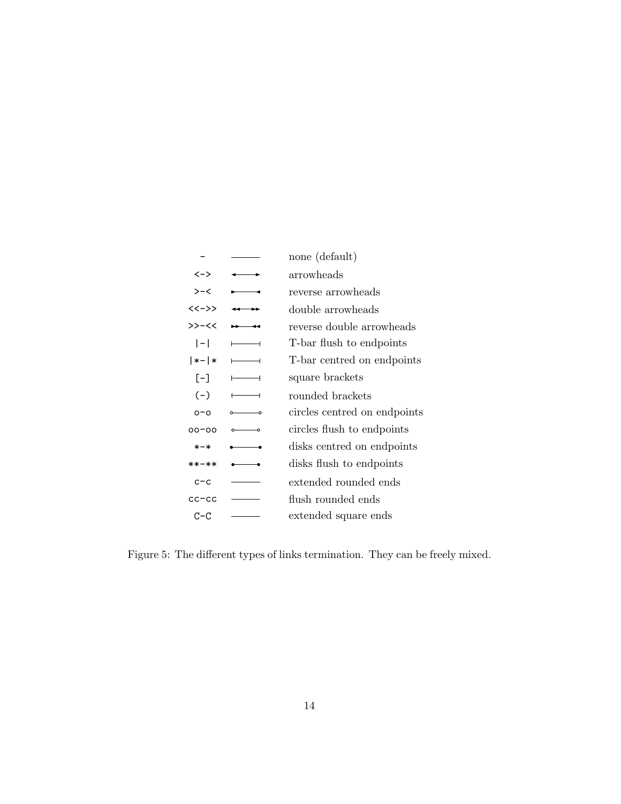|             |   | none (default)               |
|-------------|---|------------------------------|
| <一>         |   | arrowheads                   |
| >-<         |   | reverse arrowheads           |
| $<<->>$     |   | double arrowheads            |
| >>-<<       |   | reverse double arrowheads    |
| $ - $       |   | T-bar flush to endpoints     |
| $  * -   *$ |   | T-bar centred on endpoints   |
| $[-]$       |   | square brackets              |
| $(-)$       | ⊣ | rounded brackets             |
| $0 - 0$     |   | circles centred on endpoints |
| $00 - 00$   |   | circles flush to endpoints   |
| $* - *$     |   | disks centred on endpoints   |
| **-**       |   | disks flush to endpoints     |
| $c - c$     |   | extended rounded ends        |
| $cc$ – $cc$ |   | flush rounded ends           |
| $C-C$       |   | extended square ends         |

Figure 5: The different types of links termination. They can be freely mixed.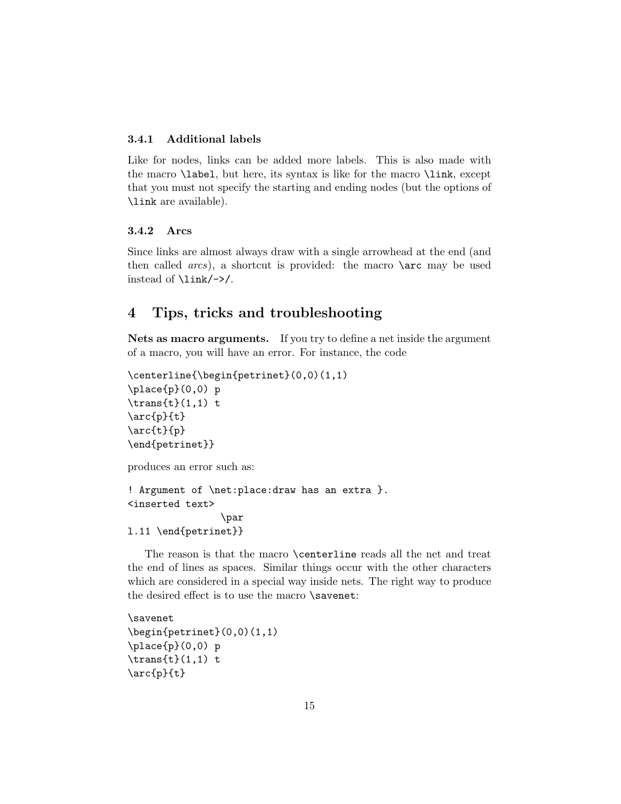#### 3.4.1 Additional labels

Like for nodes, links can be added more labels. This is also made with the macro \label, but here, its syntax is like for the macro \link, except that you must not specify the starting and ending nodes (but the options of \link are available).

#### 3.4.2 Arcs

Since links are almost always draw with a single arrowhead at the end (and then called arcs), a shortcut is provided: the macro \arc may be used instead of \link/->/.

# 4 Tips, tricks and troubleshooting

Nets as macro arguments. If you try to define a net inside the argument of a macro, you will have an error. For instance, the code

```
\centerline{\begin{petrinet}(0,0)(1,1)
\place{p}(0,0) p
\trans{t}(1,1) t
\arc{p}{t}
\arc{t}{p}
\end{petrinet}}
```
produces an error such as:

```
! Argument of \net:place:draw has an extra }.
<inserted text>
                \par
l.11 \end{petrinet}}
```
The reason is that the macro \centerline reads all the net and treat the end of lines as spaces. Similar things occur with the other characters which are considered in a special way inside nets. The right way to produce the desired effect is to use the macro \savenet:

```
\savenet
\begin{petrinet}(0,0)(1,1)
\place{p}(0,0) p
\trans{t}(1,1) t
\arc{p}{t}
```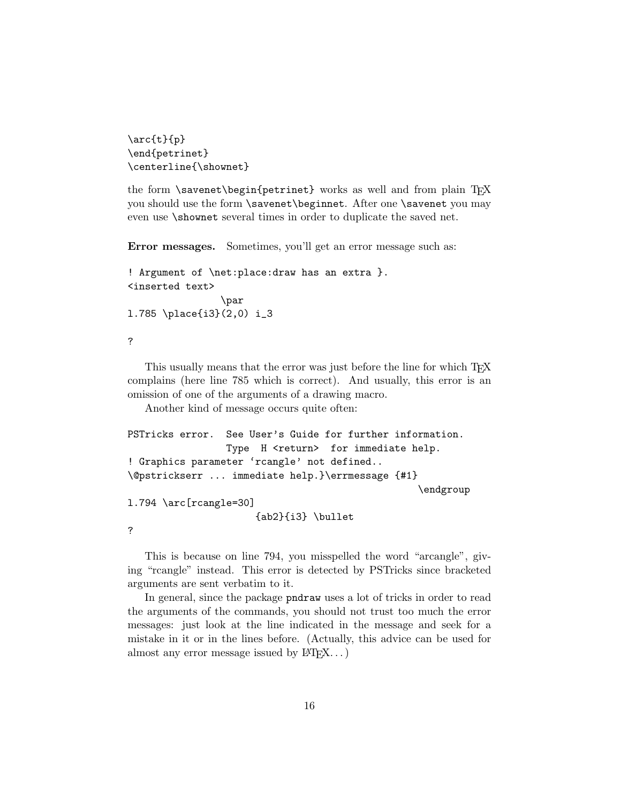```
\arc{t}{p}
\end{petrinet}
\centerline{\shownet}
```
the form  $\simeq$  \savenet $\begin{cases}$  begin{petrinet} works as well and from plain TFX you should use the form \savenet\beginnet. After one \savenet you may even use \shownet several times in order to duplicate the saved net.

Error messages. Sometimes, you'll get an error message such as:

```
! Argument of \net:place:draw has an extra }.
<inserted text>
                \par
l.785 \place{i3}(2,0) i_3
```
?

This usually means that the error was just before the line for which T<sub>E</sub>X complains (here line 785 which is correct). And usually, this error is an omission of one of the arguments of a drawing macro.

Another kind of message occurs quite often:

```
PSTricks error. See User's Guide for further information.
                 Type H <return> for immediate help.
! Graphics parameter 'rcangle' not defined..
\@pstrickserr ... immediate help.}\errmessage {#1}
                                                  \endgroup
l.794 \arc[rcangle=30]
                      {ab2}{i3} \bullet
?
```
This is because on line 794, you misspelled the word "arcangle", giving "rcangle" instead. This error is detected by PSTricks since bracketed arguments are sent verbatim to it.

In general, since the package pndraw uses a lot of tricks in order to read the arguments of the commands, you should not trust too much the error messages: just look at the line indicated in the message and seek for a mistake in it or in the lines before. (Actually, this advice can be used for almost any error message issued by  $\text{LFT}_r X$ ...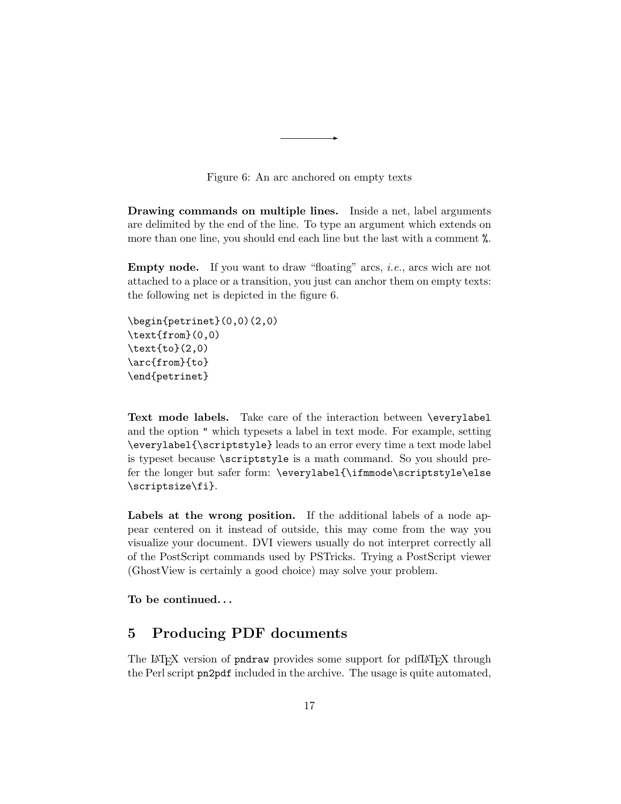

Drawing commands on multiple lines. Inside a net, label arguments are delimited by the end of the line. To type an argument which extends on more than one line, you should end each line but the last with a comment  $\%$ .

Empty node. If you want to draw "floating" arcs, i.e., arcs wich are not attached to a place or a transition, you just can anchor them on empty texts: the following net is depicted in the figure 6.

```
\begin{petrinet}(0,0)(2,0)
\text{from}(0,0)
\text{to}(2,0)
\arc{from}{to}
\end{petrinet}
```
Text mode labels. Take care of the interaction between \everylabel and the option " which typesets a label in text mode. For example, setting \everylabel{\scriptstyle} leads to an error every time a text mode label is typeset because \scriptstyle is a math command. So you should prefer the longer but safer form: \everylabel{\ifmmode\scriptstyle\else \scriptsize\fi}.

Labels at the wrong position. If the additional labels of a node appear centered on it instead of outside, this may come from the way you visualize your document. DVI viewers usually do not interpret correctly all of the PostScript commands used by PSTricks. Trying a PostScript viewer (GhostView is certainly a good choice) may solve your problem.

To be continued. . .

# 5 Producing PDF documents

The LAT<sub>EX</sub> version of **pndraw** provides some support for pdfLAT<sub>EX</sub> through the Perl script pn2pdf included in the archive. The usage is quite automated,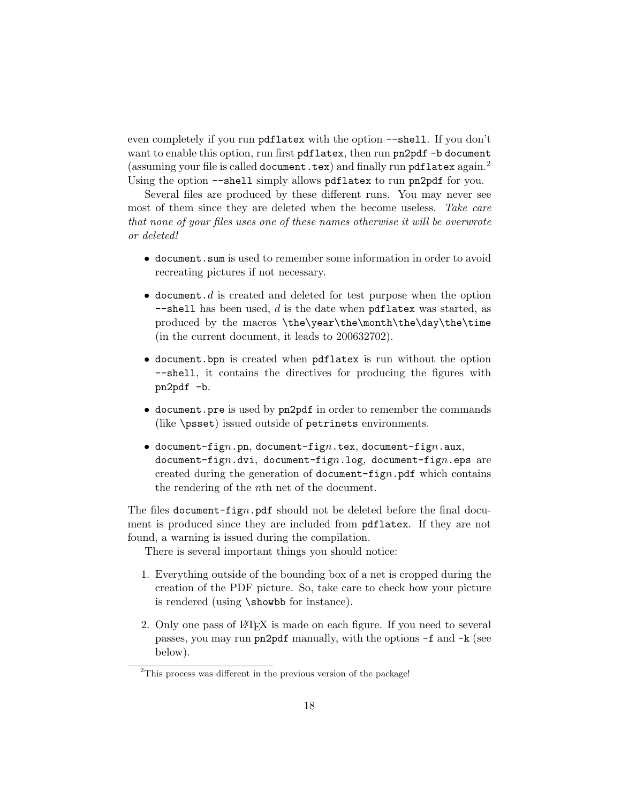even completely if you run pdflatex with the option --shell. If you don't want to enable this option, run first pdflatex, then run pn2pdf -b document (assuming your file is called document.tex) and finally run pdflatex again.<sup>2</sup> Using the option  $-\text{shell}$  simply allows pdflatex to run pn2pdf for you.

Several files are produced by these different runs. You may never see most of them since they are deleted when the become useless. Take care that none of your files uses one of these names otherwise it will be overwrote or deleted!

- document.sum is used to remember some information in order to avoid recreating pictures if not necessary.
- document.d is created and deleted for test purpose when the option  $-$ shell has been used, d is the date when pdflatex was started, as produced by the macros \the\year\the\month\the\day\the\time (in the current document, it leads to 200632702).
- document.bpn is created when pdflatex is run without the option --shell, it contains the directives for producing the figures with pn2pdf -b.
- document.pre is used by pn2pdf in order to remember the commands (like \psset) issued outside of petrinets environments.
- document-fign.pn, document-fign.tex, document-fign.aux, document-fign.dvi, document-fign.log, document-fign.eps are created during the generation of document-fign.pdf which contains the rendering of the nth net of the document.

The files document-fign.pdf should not be deleted before the final document is produced since they are included from pdflatex. If they are not found, a warning is issued during the compilation.

There is several important things you should notice:

- 1. Everything outside of the bounding box of a net is cropped during the creation of the PDF picture. So, take care to check how your picture is rendered (using \showbb for instance).
- 2. Only one pass of LATEX is made on each figure. If you need to several passes, you may run pn2pdf manually, with the options -f and -k (see below).

<sup>&</sup>lt;sup>2</sup>This process was different in the previous version of the package!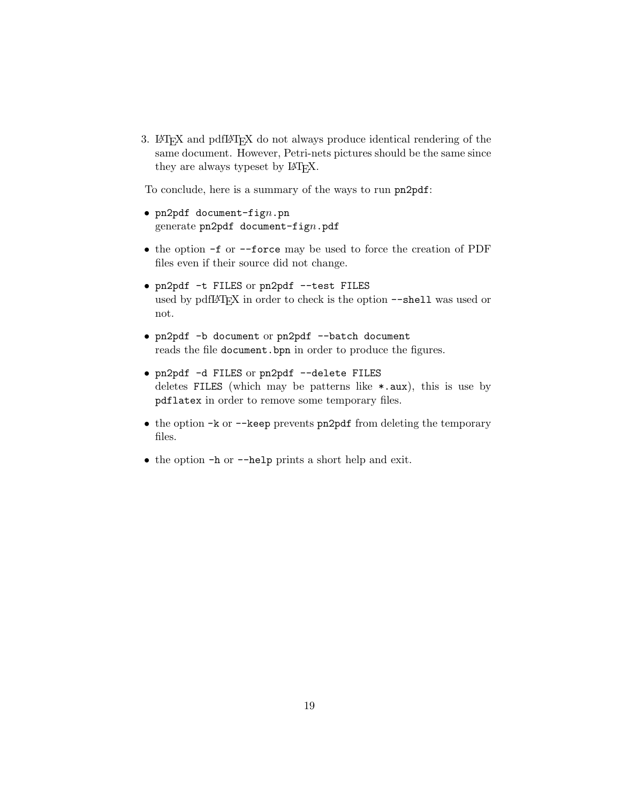3. LATEX and pdfLATEX do not always produce identical rendering of the same document. However, Petri-nets pictures should be the same since they are always typeset by LAT<sub>E</sub>X.

To conclude, here is a summary of the ways to run pn2pdf:

- $pn2pdf document-fign.pn$ generate pn2pdf document-fign.pdf
- the option -f or --force may be used to force the creation of PDF files even if their source did not change.
- pn2pdf -t FILES or pn2pdf --test FILES used by pdfIAT<sub>E</sub>X in order to check is the option --shell was used or not.
- pn2pdf -b document or pn2pdf --batch document reads the file document.bpn in order to produce the figures.
- pn2pdf -d FILES or pn2pdf --delete FILES deletes FILES (which may be patterns like  $\ast$  aux), this is use by pdflatex in order to remove some temporary files.
- the option -k or --keep prevents pn2pdf from deleting the temporary files.
- the option -h or --help prints a short help and exit.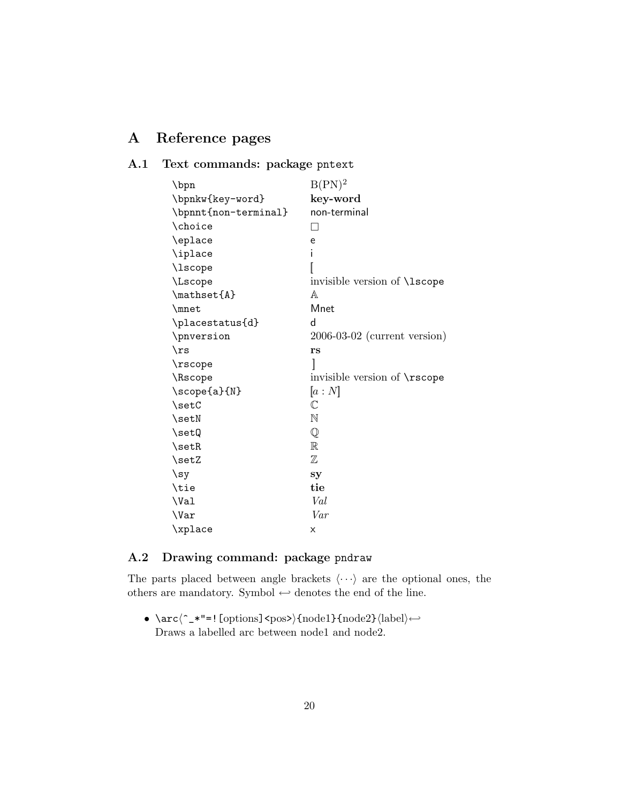# A Reference pages

# A.1 Text commands: package pntext

| \bpn                 | $B(PN)^2$                            |
|----------------------|--------------------------------------|
| \bpnkw{key-word}     | key-word                             |
| \bpnnt{non-terminal} | non-terminal                         |
| \choice              | П                                    |
| \eplace              | e                                    |
| \iplace              | i                                    |
| \lscope              |                                      |
| \Lscope              | invisible version of <i>\</i> 1scope |
| \mathset{A}          | A                                    |
| \mnet                | Mnet                                 |
| \placestatus{d}      | d                                    |
| \pnversion           | $2006-03-02$ (current version)       |
| $\sqrt{rs}$          | rs                                   |
| \rscope              | 1                                    |
| \Rscope              | invisible version of \rscope         |
| \scope{a}{N}         | [a:N]                                |
| \setC                | $\mathbb C$                          |
| $\setminus$ set $N$  | N                                    |
| \setQ                | $\mathbb{Q}$                         |
| $\setminus$ set $R$  | $\mathbb R$                          |
| \setZ                | $\mathbb Z$                          |
| $\{sy$               | sy                                   |
| \tie                 | tie                                  |
| \Val                 | Val                                  |
| \Var                 | Var                                  |
| \xplace              | X                                    |

### A.2 Drawing command: package pndraw

The parts placed between angle brackets  $\langle \cdots \rangle$  are the optional ones, the others are mandatory. Symbol  $\hookrightarrow$  denotes the end of the line.

• \arc $\langle$ ^\_\*"=![options]<pos>){node1}{node2}\label) ←-Draws a labelled arc between node1 and node2.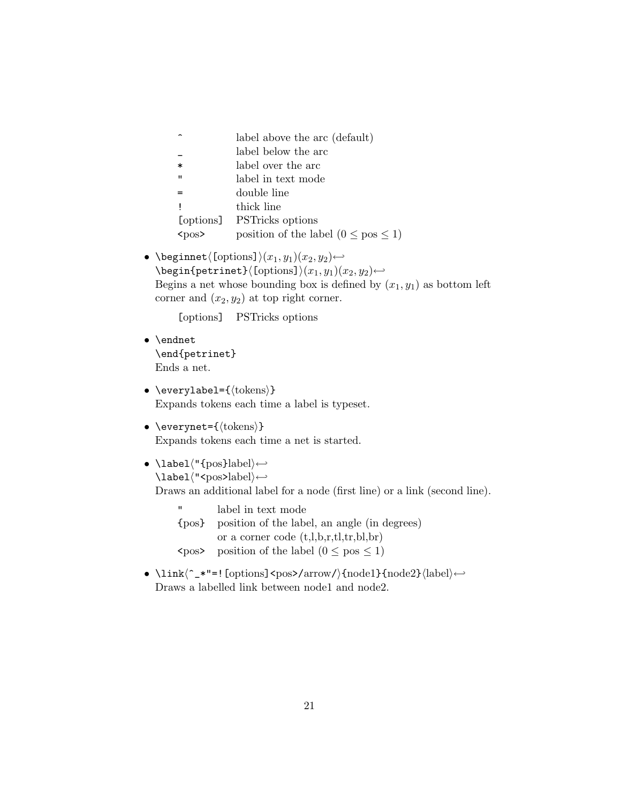| position of the label $(0 \leq pos \leq 1)$ |
|---------------------------------------------|
|                                             |

• \beginnet $\langle$ [options] $\rangle(x_1, y_1)(x_2, y_2) \leftrightarrow$  $\begin{equation*} \begin{array}{c} \texttt{\{optrinst\}} \end{array}$ Begins a net whose bounding box is defined by  $(x_1, y_1)$  as bottom left corner and  $(x_2, y_2)$  at top right corner.

[options] PSTricks options

- \endnet \end{petrinet} Ends a net.
- \everylabel= ${\text{bens}}$ } Expands tokens each time a label is typeset.
- \everynet= ${\text{\langle tokens \rangle}}$ Expands tokens each time a net is started.
- \label("{pos}label\← \label\"<pos>label\←

Draws an additional label for a node (first line) or a link (second line).

- " label in text mode {pos} position of the label, an angle (in degrees) or a corner code (t,l,b,r,tl,tr,bl,br)  $\langle \text{pos} \rangle$  position of the label  $(0 \leq \text{pos} \leq 1)$
- \link $\langle$ <sup>-\*"=!</sup>[options]<pos>/arrow/\{node1}{node2}\label\ ← Draws a labelled link between node1 and node2.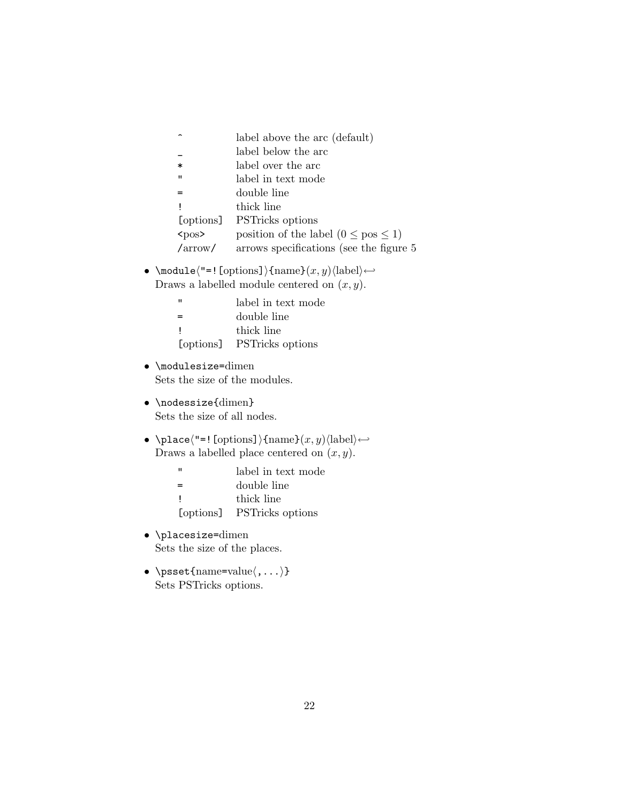|             | label above the arc (default)               |
|-------------|---------------------------------------------|
|             | label below the arc                         |
| $\ast$      | label over the arc                          |
| $^{\prime}$ | label in text mode                          |
|             | double line                                 |
|             | thick line                                  |
| [options]   | <b>PSTricks</b> options                     |
| $<$ pos>    | position of the label $(0 \leq pos \leq 1)$ |
| /arrow/     | arrows specifications (see the figure 5     |

• \module $\langle$ "=![options]){name} $(x, y)(label) \leftarrow$ Draws a labelled module centered on  $(x, y)$ .

| "         | label in text mode      |
|-----------|-------------------------|
| =         | double line             |
|           | thick line              |
| [options] | <b>PSTricks</b> options |
|           |                         |

- \modulesize=dimen Sets the size of the modules.
- \nodessize{dimen} Sets the size of all nodes.
- $\bullet$ \place\"=![options]){name}(x, y)\label\  $\hookleftarrow$ Draws a labelled place centered on  $(x, y)$ .

|  |  | label in text mode |
|--|--|--------------------|
|  |  |                    |

- = double line
- ! thick line
- [options] PSTricks options
- \placesize=dimen Sets the size of the places.
- \psset{name=value $\langle,\ldots\rangle$ } Sets PSTricks options.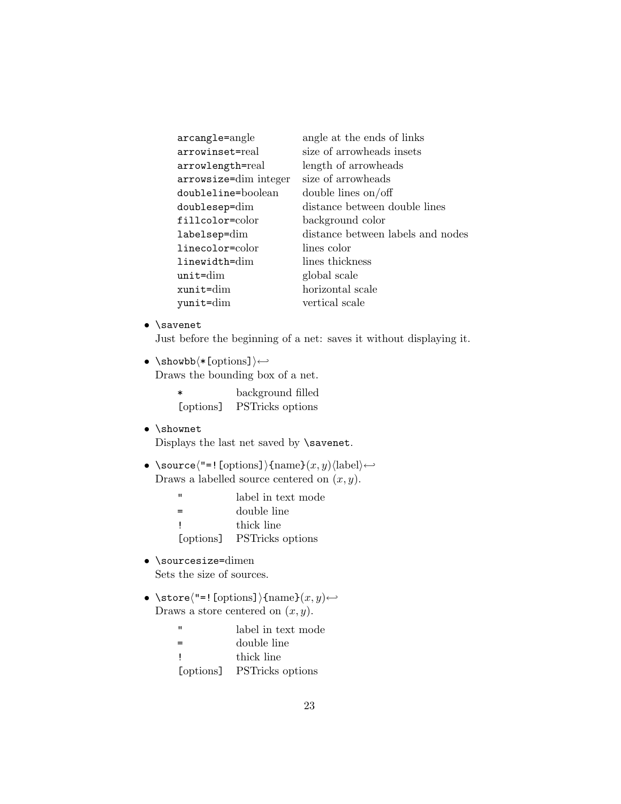| arcangle=angle        | angle at the ends of links        |
|-----------------------|-----------------------------------|
| arrowinset=real       | size of arrowheads insets         |
| arrowlength=real      | length of arrowheads              |
| arrowsize=dim integer | size of arrowheads                |
| doubleline=boolean    | double lines on/off               |
| doublesep=dim         | distance between double lines     |
| fillcolor=color       | background color                  |
| labelsep=dim          | distance between labels and nodes |
| linecolor=color       | lines color                       |
| linewidth=dim         | lines thickness                   |
| $unit = dim$          | global scale                      |
| xunit=dim             | horizontal scale                  |
| yunit=dim             | vertical scale                    |

• \savenet

Just before the beginning of a net: saves it without displaying it.

•  $\simeq$  \showbb $\langle *[\text{options}]\rangle \hookleftarrow$ 

Draws the bounding box of a net.

| $\ast$    | background filled |
|-----------|-------------------|
| [options] | PSTricks options  |

#### • \shownet

Displays the last net saved by \savenet.

- \source $\langle$ "=![options]}{name} $(x, y)$  $\langle$ label $\rangle \leftrightarrow$ Draws a labelled source centered on  $(x, y)$ .
	- " label in text mode
	- = double line
	- ! thick line
	- [options] PSTricks options
- \sourcesize=dimen Sets the size of sources.
- \store $\langle$ "=![options]}{name} $(x, y) \leftarrow$ Draws a store centered on  $(x, y)$ .
	- " label in text mode
	- = double line
	- ! thick line
	- [options] PSTricks options